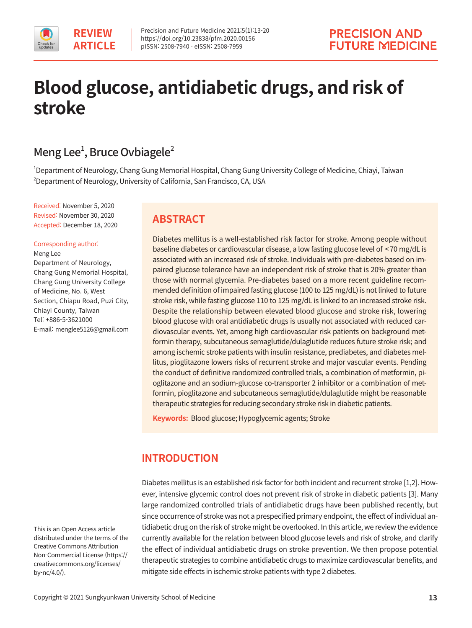

# **Blood glucose, antidiabetic drugs, and risk of stroke**

# Meng Lee<sup>1</sup>, Bruce Ovbiagele<sup>2</sup>

1 Department of Neurology, Chang Gung Memorial Hospital, Chang Gung University College of Medicine, Chiayi, Taiwan 2 Department of Neurology, University of California, San Francisco, CA, USA

Received: November 5, 2020 Revised: November 30, 2020 Accepted: December 18, 2020

#### Corresponding author:

Meng Lee Department of Neurology, Chang Gung Memorial Hospital, Chang Gung University College of Medicine, No. 6, West Section, Chiapu Road, Puzi City, Chiayi County, Taiwan Tel: +886-5-3621000 E-mail: menglee5126@gmail.com

# **ABSTRACT**

Diabetes mellitus is a well-established risk factor for stroke. Among people without baseline diabetes or cardiovascular disease, a low fasting glucose level of < 70 mg/dL is associated with an increased risk of stroke. Individuals with pre-diabetes based on impaired glucose tolerance have an independent risk of stroke that is 20% greater than those with normal glycemia. Pre-diabetes based on a more recent guideline recommended definition of impaired fasting glucose (100 to 125 mg/dL) is not linked to future stroke risk, while fasting glucose 110 to 125 mg/dL is linked to an increased stroke risk. Despite the relationship between elevated blood glucose and stroke risk, lowering blood glucose with oral antidiabetic drugs is usually not associated with reduced cardiovascular events. Yet, among high cardiovascular risk patients on background metformin therapy, subcutaneous semaglutide/dulaglutide reduces future stroke risk; and among ischemic stroke patients with insulin resistance, prediabetes, and diabetes mellitus, pioglitazone lowers risks of recurrent stroke and major vascular events. Pending the conduct of definitive randomized controlled trials, a combination of metformin, pioglitazone and an sodium-glucose co-transporter 2 inhibitor or a combination of metformin, pioglitazone and subcutaneous semaglutide/dulaglutide might be reasonable therapeutic strategies for reducing secondary stroke risk in diabetic patients.

**Keywords:** Blood glucose; Hypoglycemic agents; Stroke

# **INTRODUCTION**

Diabetes mellitus is an established risk factor for both incident and recurrent stroke [1,2]. However, intensive glycemic control does not prevent risk of stroke in diabetic patients [3]. Many large randomized controlled trials of antidiabetic drugs have been published recently, but since occurrence of stroke was not a prespecified primary endpoint, the effect of individual antidiabetic drug on the risk of stroke might be overlooked. In this article, we review the evidence currently available for the relation between blood glucose levels and risk of stroke, and clarify the effect of individual antidiabetic drugs on stroke prevention. We then propose potential therapeutic strategies to combine antidiabetic drugs to maximize cardiovascular benefits, and mitigate side effects in ischemic stroke patients with type 2 diabetes.

This is an Open Access article distributed under the terms of the Creative Commons Attribution Non-Commercial License (https:// creativecommons.org/licenses/ by-nc/4.0/).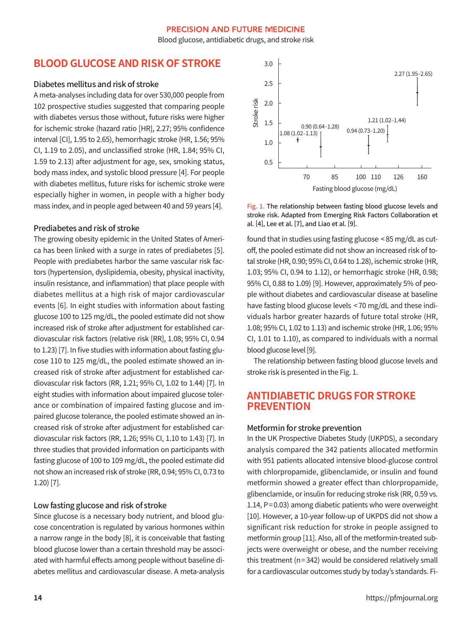Blood glucose, antidiabetic drugs, and stroke risk

# **BLOOD GLUCOSE AND RISK OF STROKE**

### Diabetes mellitus and risk of stroke

A meta-analyses including data for over 530,000 people from 102 prospective studies suggested that comparing people with diabetes versus those without, future risks were higher for ischemic stroke (hazard ratio [HR], 2.27; 95% confidence interval [CI], 1.95 to 2.65), hemorrhagic stroke (HR, 1.56; 95% CI, 1.19 to 2.05), and unclassified stroke (HR, 1.84; 95% CI, 1.59 to 2.13) after adjustment for age, sex, smoking status, body mass index, and systolic blood pressure [4]. For people with diabetes mellitus, future risks for ischemic stroke were especially higher in women, in people with a higher body mass index, and in people aged between 40 and 59 years [4].

#### Prediabetes and risk of stroke

The growing obesity epidemic in the United States of America has been linked with a surge in rates of prediabetes [5]. People with prediabetes harbor the same vascular risk factors (hypertension, dyslipidemia, obesity, physical inactivity, insulin resistance, and inflammation) that place people with diabetes mellitus at a high risk of major cardiovascular events [6]. In eight studies with information about fasting glucose 100 to 125 mg/dL, the pooled estimate did not show increased risk of stroke after adjustment for established cardiovascular risk factors (relative risk [RR], 1.08; 95% CI, 0.94 to 1.23) [7]. In five studies with information about fasting glucose 110 to 125 mg/dL, the pooled estimate showed an increased risk of stroke after adjustment for established cardiovascular risk factors (RR, 1.21; 95% CI, 1.02 to 1.44) [7]. In eight studies with information about impaired glucose tolerance or combination of impaired fasting glucose and impaired glucose tolerance, the pooled estimate showed an increased risk of stroke after adjustment for established cardiovascular risk factors (RR, 1.26; 95% CI, 1.10 to 1.43) [7]. In three studies that provided information on participants with fasting glucose of 100 to 109 mg/dL, the pooled estimate did not show an increased risk of stroke (RR, 0.94; 95% CI, 0.73 to 1.20) [7].

#### Low fasting glucose and risk of stroke

Since glucose is a necessary body nutrient, and blood glucose concentration is regulated by various hormones within a narrow range in the body [8], it is conceivable that fasting blood glucose lower than a certain threshold may be associated with harmful effects among people without baseline diabetes mellitus and cardiovascular disease. A meta-analysis



Fig. 1. The relationship between fasting blood glucose levels and stroke risk. Adapted from Emerging Risk Factors Collaboration et al. [4], Lee et al. [7], and Liao et al. [9].

found that in studies using fasting glucose < 85 mg/dL as cutoff, the pooled estimate did not show an increased risk of total stroke (HR, 0.90; 95% CI, 0.64 to 1.28), ischemic stroke (HR, 1.03; 95% CI, 0.94 to 1.12), or hemorrhagic stroke (HR, 0.98; 95% CI, 0.88 to 1.09) [9]. However, approximately 5% of people without diabetes and cardiovascular disease at baseline have fasting blood glucose levels < 70 mg/dL and these individuals harbor greater hazards of future total stroke (HR, 1.08; 95% CI, 1.02 to 1.13) and ischemic stroke (HR, 1.06; 95% CI, 1.01 to 1.10), as compared to individuals with a normal blood glucose level [9].

The relationship between fasting blood glucose levels and stroke risk is presented in the Fig. 1.

# **ANTIDIABETIC DRUGS FOR STROKE PREVENTION**

## Metformin for stroke prevention

In the UK Prospective Diabetes Study (UKPDS), a secondary analysis compared the 342 patients allocated metformin with 951 patients allocated intensive blood-glucose control with chlorpropamide, glibenclamide, or insulin and found metformin showed a greater effect than chlorpropamide, glibenclamide, or insulin for reducing stroke risk (RR, 0.59 vs. 1.14, P= 0.03) among diabetic patients who were overweight [10]. However, a 10-year follow-up of UKPDS did not show a significant risk reduction for stroke in people assigned to metformin group [11]. Also, all of the metformin-treated subjects were overweight or obese, and the number receiving this treatment (n= 342) would be considered relatively small for a cardiovascular outcomes study by today's standards. Fi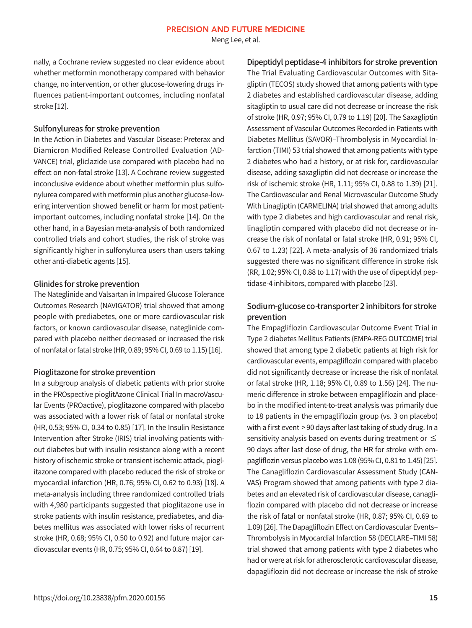Meng Lee, et al.

nally, a Cochrane review suggested no clear evidence about whether metformin monotherapy compared with behavior change, no intervention, or other glucose-lowering drugs influences patient-important outcomes, including nonfatal stroke [12].

### Sulfonylureas for stroke prevention

In the Action in Diabetes and Vascular Disease: Preterax and Diamicron Modified Release Controlled Evaluation (AD-VANCE) trial, gliclazide use compared with placebo had no effect on non-fatal stroke [13]. A Cochrane review suggested inconclusive evidence about whether metformin plus sulfonylurea compared with metformin plus another glucose-lowering intervention showed benefit or harm for most patientimportant outcomes, including nonfatal stroke [14]. On the other hand, in a Bayesian meta-analysis of both randomized controlled trials and cohort studies, the risk of stroke was significantly higher in sulfonylurea users than users taking other anti-diabetic agents [15].

## Glinides for stroke prevention

The Nateglinide and Valsartan in Impaired Glucose Tolerance Outcomes Research (NAVIGATOR) trial showed that among people with prediabetes, one or more cardiovascular risk factors, or known cardiovascular disease, nateglinide compared with placebo neither decreased or increased the risk of nonfatal or fatal stroke (HR, 0.89; 95% CI, 0.69 to 1.15) [16].

## Pioglitazone for stroke prevention

In a subgroup analysis of diabetic patients with prior stroke in the PROspective pioglitAzone Clinical Trial In macroVascular Events (PROactive), pioglitazone compared with placebo was associated with a lower risk of fatal or nonfatal stroke (HR, 0.53; 95% CI, 0.34 to 0.85) [17]. In the Insulin Resistance Intervention after Stroke (IRIS) trial involving patients without diabetes but with insulin resistance along with a recent history of ischemic stroke or transient ischemic attack, pioglitazone compared with placebo reduced the risk of stroke or myocardial infarction (HR, 0.76; 95% CI, 0.62 to 0.93) [18]. A meta-analysis including three randomized controlled trials with 4,980 participants suggested that pioglitazone use in stroke patients with insulin resistance, prediabetes, and diabetes mellitus was associated with lower risks of recurrent stroke (HR, 0.68; 95% CI, 0.50 to 0.92) and future major cardiovascular events (HR, 0.75; 95% CI, 0.64 to 0.87) [19].

Dipeptidyl peptidase-4 inhibitors for stroke prevention The Trial Evaluating Cardiovascular Outcomes with Sitagliptin (TECOS) study showed that among patients with type 2 diabetes and established cardiovascular disease, adding sitagliptin to usual care did not decrease or increase the risk of stroke (HR, 0.97; 95% CI, 0.79 to 1.19) [20]. The Saxagliptin Assessment of Vascular Outcomes Recorded in Patients with Diabetes Mellitus (SAVOR)–Thrombolysis in Myocardial Infarction (TIMI) 53 trial showed that among patients with type 2 diabetes who had a history, or at risk for, cardiovascular disease, adding saxagliptin did not decrease or increase the risk of ischemic stroke (HR, 1.11; 95% CI, 0.88 to 1.39) [21]. The Cardiovascular and Renal Microvascular Outcome Study With Linagliptin (CARMELINA) trial showed that among adults with type 2 diabetes and high cardiovascular and renal risk, linagliptin compared with placebo did not decrease or increase the risk of nonfatal or fatal stroke (HR, 0.91; 95% CI, 0.67 to 1.23) [22]. A meta-analysis of 36 randomized trials suggested there was no significant difference in stroke risk (RR, 1.02; 95% CI, 0.88 to 1.17) with the use of dipeptidyl peptidase-4 inhibitors, compared with placebo [23].

## Sodium-glucose co-transporter 2 inhibitors for stroke prevention

The Empagliflozin Cardiovascular Outcome Event Trial in Type 2 diabetes Mellitus Patients (EMPA-REG OUTCOME) trial showed that among type 2 diabetic patients at high risk for cardiovascular events, empagliflozin compared with placebo did not significantly decrease or increase the risk of nonfatal or fatal stroke (HR, 1.18; 95% CI, 0.89 to 1.56) [24]. The numeric difference in stroke between empagliflozin and placebo in the modified intent-to-treat analysis was primarily due to 18 patients in the empagliflozin group (vs. 3 on placebo) with a first event > 90 days after last taking of study drug. In a sensitivity analysis based on events during treatment or  $\leq$ 90 days after last dose of drug, the HR for stroke with empagliflozin versus placebo was 1.08 (95% CI, 0.81 to 1.45) [25]. The Canagliflozin Cardiovascular Assessment Study (CAN-VAS) Program showed that among patients with type 2 diabetes and an elevated risk of cardiovascular disease, canagliflozin compared with placebo did not decrease or increase the risk of fatal or nonfatal stroke (HR, 0.87; 95% CI, 0.69 to 1.09) [26]. The Dapagliflozin Effect on Cardiovascular Events– Thrombolysis in Myocardial Infarction 58 (DECLARE–TIMI 58) trial showed that among patients with type 2 diabetes who had or were at risk for atherosclerotic cardiovascular disease, dapagliflozin did not decrease or increase the risk of stroke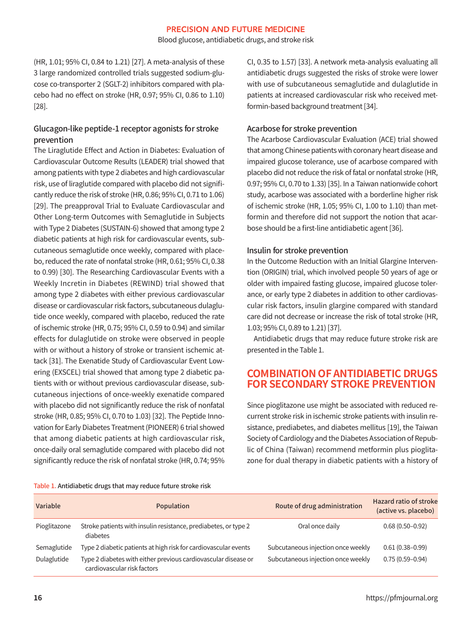Blood glucose, antidiabetic drugs, and stroke risk

(HR, 1.01; 95% CI, 0.84 to 1.21) [27]. A meta-analysis of these 3 large randomized controlled trials suggested sodium-glucose co-transporter 2 (SGLT-2) inhibitors compared with placebo had no effect on stroke (HR, 0.97; 95% CI, 0.86 to 1.10) [28].

## Glucagon-like peptide-1 receptor agonists for stroke prevention

The Liraglutide Effect and Action in Diabetes: Evaluation of Cardiovascular Outcome Results (LEADER) trial showed that among patients with type 2 diabetes and high cardiovascular risk, use of liraglutide compared with placebo did not significantly reduce the risk of stroke (HR, 0.86; 95% CI, 0.71 to 1.06) [29]. The preapproval Trial to Evaluate Cardiovascular and Other Long-term Outcomes with Semaglutide in Subjects with Type 2 Diabetes (SUSTAIN-6) showed that among type 2 diabetic patients at high risk for cardiovascular events, subcutaneous semaglutide once weekly, compared with placebo, reduced the rate of nonfatal stroke (HR, 0.61; 95% CI, 0.38 to 0.99) [30]. The Researching Cardiovascular Events with a Weekly Incretin in Diabetes (REWIND) trial showed that among type 2 diabetes with either previous cardiovascular disease or cardiovascular risk factors, subcutaneous dulaglutide once weekly, compared with placebo, reduced the rate of ischemic stroke (HR, 0.75; 95% CI, 0.59 to 0.94) and similar effects for dulaglutide on stroke were observed in people with or without a history of stroke or transient ischemic attack [31]. The Exenatide Study of Cardiovascular Event Lowering (EXSCEL) trial showed that among type 2 diabetic patients with or without previous cardiovascular disease, subcutaneous injections of once-weekly exenatide compared with placebo did not significantly reduce the risk of nonfatal stroke (HR, 0.85; 95% CI, 0.70 to 1.03) [32]. The Peptide Innovation for Early Diabetes Treatment (PIONEER) 6 trial showed that among diabetic patients at high cardiovascular risk, once-daily oral semaglutide compared with placebo did not significantly reduce the risk of nonfatal stroke (HR, 0.74; 95% CI, 0.35 to 1.57) [33]. A network meta-analysis evaluating all antidiabetic drugs suggested the risks of stroke were lower with use of subcutaneous semaglutide and dulaglutide in patients at increased cardiovascular risk who received metformin-based background treatment [34].

## Acarbose for stroke prevention

The Acarbose Cardiovascular Evaluation (ACE) trial showed that among Chinese patients with coronary heart disease and impaired glucose tolerance, use of acarbose compared with placebo did not reduce the risk of fatal or nonfatal stroke (HR, 0.97; 95% CI, 0.70 to 1.33) [35]. In a Taiwan nationwide cohort study, acarbose was associated with a borderline higher risk of ischemic stroke (HR, 1.05; 95% CI, 1.00 to 1.10) than metformin and therefore did not support the notion that acarbose should be a first-line antidiabetic agent [36].

## Insulin for stroke prevention

In the Outcome Reduction with an Initial Glargine Intervention (ORIGIN) trial, which involved people 50 years of age or older with impaired fasting glucose, impaired glucose tolerance, or early type 2 diabetes in addition to other cardiovascular risk factors, insulin glargine compared with standard care did not decrease or increase the risk of total stroke (HR, 1.03; 95% CI, 0.89 to 1.21) [37].

Antidiabetic drugs that may reduce future stroke risk are presented in the Table 1.

# **COMBINATION OF ANTIDIABETIC DRUGS FOR SECONDARY STROKE PREVENTION**

Since pioglitazone use might be associated with reduced recurrent stroke risk in ischemic stroke patients with insulin resistance, prediabetes, and diabetes mellitus [19], the Taiwan Society of Cardiology and the Diabetes Association of Republic of China (Taiwan) recommend metformin plus pioglitazone for dual therapy in diabetic patients with a history of

| Table 1. Antidiabetic drugs that may reduce future stroke risk |
|----------------------------------------------------------------|
|----------------------------------------------------------------|

| Variable     | Population                                                                                    | Route of drug administration       | <b>Hazard ratio of stroke</b><br>(active vs. placebo) |
|--------------|-----------------------------------------------------------------------------------------------|------------------------------------|-------------------------------------------------------|
| Pioglitazone | Stroke patients with insulin resistance, prediabetes, or type 2<br>diabetes                   | Oral once daily                    | $0.68(0.50 - 0.92)$                                   |
| Semaglutide  | Type 2 diabetic patients at high risk for cardiovascular events                               | Subcutaneous injection once weekly | $0.61(0.38 - 0.99)$                                   |
| Dulaglutide  | Type 2 diabetes with either previous cardiovascular disease or<br>cardiovascular risk factors | Subcutaneous injection once weekly | $0.75(0.59 - 0.94)$                                   |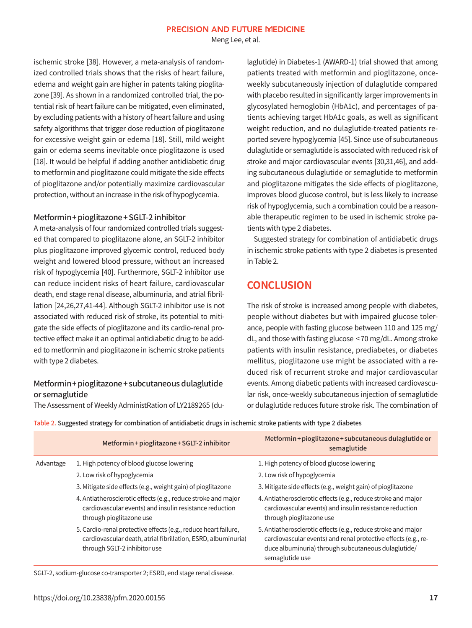Meng Lee, et al.

ischemic stroke [38]. However, a meta-analysis of randomized controlled trials shows that the risks of heart failure, edema and weight gain are higher in patents taking pioglitazone [39]. As shown in a randomized controlled trial, the potential risk of heart failure can be mitigated, even eliminated, by excluding patients with a history of heart failure and using safety algorithms that trigger dose reduction of pioglitazone for excessive weight gain or edema [18]. Still, mild weight gain or edema seems inevitable once pioglitazone is used [18]. It would be helpful if adding another antidiabetic drug to metformin and pioglitazone could mitigate the side effects of pioglitazone and/or potentially maximize cardiovascular protection, without an increase in the risk of hypoglycemia.

## Metformin+ pioglitazone+ SGLT-2 inhibitor

A meta-analysis of four randomized controlled trials suggested that compared to pioglitazone alone, an SGLT-2 inhibitor plus pioglitazone improved glycemic control, reduced body weight and lowered blood pressure, without an increased risk of hypoglycemia [40]. Furthermore, SGLT-2 inhibitor use can reduce incident risks of heart failure, cardiovascular death, end stage renal disease, albuminuria, and atrial fibrillation [24,26,27,41-44]. Although SGLT-2 inhibitor use is not associated with reduced risk of stroke, its potential to mitigate the side effects of pioglitazone and its cardio-renal protective effect make it an optimal antidiabetic drug to be added to metformin and pioglitazone in ischemic stroke patients with type 2 diabetes.

## Metformin+ pioglitazone+ subcutaneous dulaglutide or semaglutide

The Assessment of Weekly AdministRation of LY2189265 (du-

laglutide) in Diabetes-1 (AWARD-1) trial showed that among patients treated with metformin and pioglitazone, onceweekly subcutaneously injection of dulaglutide compared with placebo resulted in significantly larger improvements in glycosylated hemoglobin (HbA1c), and percentages of patients achieving target HbA1c goals, as well as significant weight reduction, and no dulaglutide-treated patients reported severe hypoglycemia [45]. Since use of subcutaneous dulaglutide or semaglutide is associated with reduced risk of stroke and major cardiovascular events [30,31,46], and adding subcutaneous dulaglutide or semaglutide to metformin and pioglitazone mitigates the side effects of pioglitazone, improves blood glucose control, but is less likely to increase risk of hypoglycemia, such a combination could be a reasonable therapeutic regimen to be used in ischemic stroke patients with type 2 diabetes.

Suggested strategy for combination of antidiabetic drugs in ischemic stroke patients with type 2 diabetes is presented in Table 2.

# **CONCLUSION**

The risk of stroke is increased among people with diabetes, people without diabetes but with impaired glucose tolerance, people with fasting glucose between 110 and 125 mg/ dL, and those with fasting glucose < 70 mg/dL. Among stroke patients with insulin resistance, prediabetes, or diabetes mellitus, pioglitazone use might be associated with a reduced risk of recurrent stroke and major cardiovascular events. Among diabetic patients with increased cardiovascular risk, once-weekly subcutaneous injection of semaglutide or dulaglutide reduces future stroke risk. The combination of

Table 2. Suggested strategy for combination of antidiabetic drugs in ischemic stroke patients with type 2 diabetes

|           | Metformin + pioglitazone + SGLT-2 inhibitor                                                                                                                      | Metformin + pioglitazone + subcutaneous dulaglutide or<br>semaglutide                                                                                                                                     |
|-----------|------------------------------------------------------------------------------------------------------------------------------------------------------------------|-----------------------------------------------------------------------------------------------------------------------------------------------------------------------------------------------------------|
| Advantage | 1. High potency of blood glucose lowering                                                                                                                        | 1. High potency of blood glucose lowering                                                                                                                                                                 |
|           | 2. Low risk of hypoglycemia                                                                                                                                      | 2. Low risk of hypoglycemia                                                                                                                                                                               |
|           | 3. Mitigate side effects (e.g., weight gain) of pioglitazone                                                                                                     | 3. Mitigate side effects (e.g., weight gain) of pioglitazone                                                                                                                                              |
|           | 4. Antiatherosclerotic effects (e.g., reduce stroke and major<br>cardiovascular events) and insulin resistance reduction<br>through pioglitazone use             | 4. Antiatherosclerotic effects (e.g., reduce stroke and major<br>cardiovascular events) and insulin resistance reduction<br>through pioglitazone use                                                      |
|           | 5. Cardio-renal protective effects (e.g., reduce heart failure,<br>cardiovascular death, atrial fibrillation, ESRD, albuminuria)<br>through SGLT-2 inhibitor use | 5. Antiatherosclerotic effects (e.g., reduce stroke and major<br>cardiovascular events) and renal protective effects (e.g., re-<br>duce albuminuria) through subcutaneous dulaglutide/<br>semaglutide use |

SGLT-2, sodium-glucose co-transporter 2; ESRD, end stage renal disease.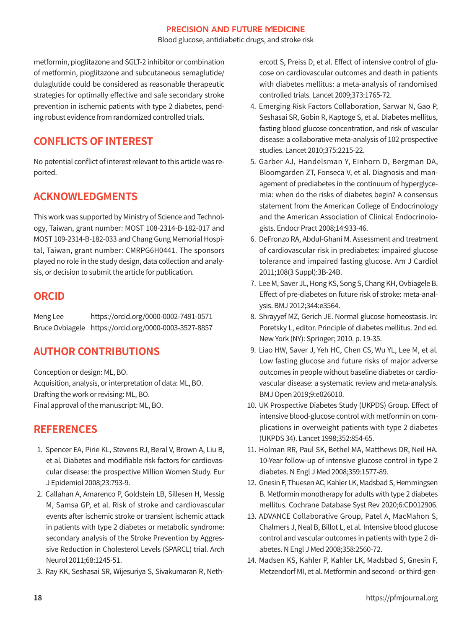Blood glucose, antidiabetic drugs, and stroke risk

metformin, pioglitazone and SGLT-2 inhibitor or combination of metformin, pioglitazone and subcutaneous semaglutide/ dulaglutide could be considered as reasonable therapeutic strategies for optimally effective and safe secondary stroke prevention in ischemic patients with type 2 diabetes, pending robust evidence from randomized controlled trials.

# **CONFLICTS OF INTEREST**

No potential conflict of interest relevant to this article was reported.

# **ACKNOWLEDGMENTS**

This work was supported by Ministry of Science and Technology, Taiwan, grant number: MOST 108-2314-B-182-017 and MOST 109-2314-B-182-033 and Chang Gung Memorial Hospital, Taiwan, grant number: CMRPG6H0441. The sponsors played no role in the study design, data collection and analysis, or decision to submit the article for publication.

# **ORCID**

Meng Lee https://orcid.org/0000-0002-7491-0571 Bruce Ovbiagele https://orcid.org/0000-0003-3527-8857

# **AUTHOR CONTRIBUTIONS**

Conception or design: ML, BO. Acquisition, analysis, or interpretation of data: ML, BO. Drafting the work or revising: ML, BO. Final approval of the manuscript: ML, BO.

# **REFERENCES**

- 1. Spencer EA, Pirie KL, Stevens RJ, Beral V, Brown A, Liu B, et al. Diabetes and modifiable risk factors for cardiovascular disease: the prospective Million Women Study. Eur J Epidemiol 2008;23:793-9.
- 2. Callahan A, Amarenco P, Goldstein LB, Sillesen H, Messig M, Samsa GP, et al. Risk of stroke and cardiovascular events after ischemic stroke or transient ischemic attack in patients with type 2 diabetes or metabolic syndrome: secondary analysis of the Stroke Prevention by Aggressive Reduction in Cholesterol Levels (SPARCL) trial. Arch Neurol 2011;68:1245-51.
- 3. Ray KK, Seshasai SR, Wijesuriya S, Sivakumaran R, Neth-

ercott S, Preiss D, et al. Effect of intensive control of glucose on cardiovascular outcomes and death in patients with diabetes mellitus: a meta-analysis of randomised controlled trials. Lancet 2009;373:1765-72.

- 4. Emerging Risk Factors Collaboration, Sarwar N, Gao P, Seshasai SR, Gobin R, Kaptoge S, et al. Diabetes mellitus, fasting blood glucose concentration, and risk of vascular disease: a collaborative meta-analysis of 102 prospective studies. Lancet 2010;375:2215-22.
- 5. Garber AJ, Handelsman Y, Einhorn D, Bergman DA, Bloomgarden ZT, Fonseca V, et al. Diagnosis and management of prediabetes in the continuum of hyperglycemia: when do the risks of diabetes begin? A consensus statement from the American College of Endocrinology and the American Association of Clinical Endocrinologists. Endocr Pract 2008;14:933-46.
- 6. DeFronzo RA, Abdul-Ghani M. Assessment and treatment of cardiovascular risk in prediabetes: impaired glucose tolerance and impaired fasting glucose. Am J Cardiol 2011;108(3 Suppl):3B-24B.
- 7. Lee M, Saver JL, Hong KS, Song S, Chang KH, Ovbiagele B. Effect of pre-diabetes on future risk of stroke: meta-analysis. BMJ 2012;344:e3564.
- 8. Shrayyef MZ, Gerich JE. Normal glucose homeostasis. In: Poretsky L, editor. Principle of diabetes mellitus. 2nd ed. New York (NY): Springer; 2010. p. 19-35.
- 9. Liao HW, Saver J, Yeh HC, Chen CS, Wu YL, Lee M, et al. Low fasting glucose and future risks of major adverse outcomes in people without baseline diabetes or cardiovascular disease: a systematic review and meta-analysis. BMJ Open 2019;9:e026010.
- 10. UK Prospective Diabetes Study (UKPDS) Group. Effect of intensive blood-glucose control with metformin on complications in overweight patients with type 2 diabetes (UKPDS 34). Lancet 1998;352:854-65.
- 11. Holman RR, Paul SK, Bethel MA, Matthews DR, Neil HA. 10-Year follow-up of intensive glucose control in type 2 diabetes. N Engl J Med 2008;359:1577-89.
- 12. Gnesin F, Thuesen AC, Kahler LK, Madsbad S, Hemmingsen B. Metformin monotherapy for adults with type 2 diabetes mellitus. Cochrane Database Syst Rev 2020;6:CD012906.
- 13. ADVANCE Collaborative Group, Patel A, MacMahon S, Chalmers J, Neal B, Billot L, et al. Intensive blood glucose control and vascular outcomes in patients with type 2 diabetes. N Engl J Med 2008;358:2560-72.
- 14. Madsen KS, Kahler P, Kahler LK, Madsbad S, Gnesin F, Metzendorf MI, et al. Metformin and second- or third-gen-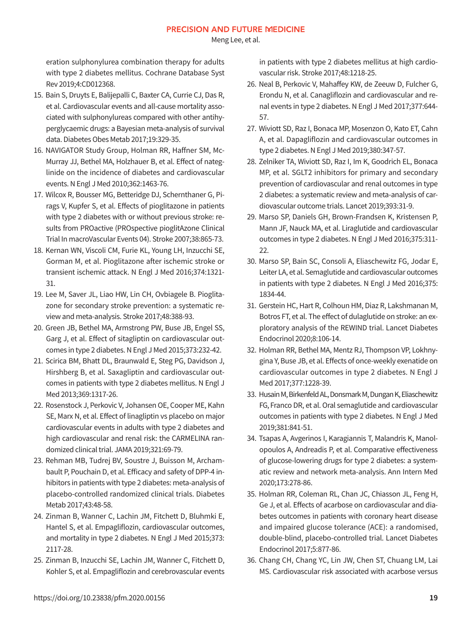Meng Lee, et al.

eration sulphonylurea combination therapy for adults with type 2 diabetes mellitus. Cochrane Database Syst Rev 2019;4:CD012368.

- 15. Bain S, Druyts E, Balijepalli C, Baxter CA, Currie CJ, Das R, et al. Cardiovascular events and all-cause mortality associated with sulphonylureas compared with other antihyperglycaemic drugs: a Bayesian meta-analysis of survival data. Diabetes Obes Metab 2017;19:329-35.
- 16. NAVIGATOR Study Group, Holman RR, Haffner SM, Mc-Murray JJ, Bethel MA, Holzhauer B, et al. Effect of nateglinide on the incidence of diabetes and cardiovascular events. N Engl J Med 2010;362:1463-76.
- 17. Wilcox R, Bousser MG, Betteridge DJ, Schernthaner G, Pirags V, Kupfer S, et al. Effects of pioglitazone in patients with type 2 diabetes with or without previous stroke: results from PROactive (PROspective pioglitAzone Clinical Trial In macroVascular Events 04). Stroke 2007;38:865-73.
- 18. Kernan WN, Viscoli CM, Furie KL, Young LH, Inzucchi SE, Gorman M, et al. Pioglitazone after ischemic stroke or transient ischemic attack. N Engl J Med 2016;374:1321- 31.
- 19. Lee M, Saver JL, Liao HW, Lin CH, Ovbiagele B. Pioglitazone for secondary stroke prevention: a systematic review and meta-analysis. Stroke 2017;48:388-93.
- 20. Green JB, Bethel MA, Armstrong PW, Buse JB, Engel SS, Garg J, et al. Effect of sitagliptin on cardiovascular outcomes in type 2 diabetes. N Engl J Med 2015;373:232-42.
- 21. Scirica BM, Bhatt DL, Braunwald E, Steg PG, Davidson J, Hirshberg B, et al. Saxagliptin and cardiovascular outcomes in patients with type 2 diabetes mellitus. N Engl J Med 2013;369:1317-26.
- 22. Rosenstock J, Perkovic V, Johansen OE, Cooper ME, Kahn SE, Marx N, et al. Effect of linagliptin vs placebo on major cardiovascular events in adults with type 2 diabetes and high cardiovascular and renal risk: the CARMELINA randomized clinical trial. JAMA 2019;321:69-79.
- 23. Rehman MB, Tudrej BV, Soustre J, Buisson M, Archambault P, Pouchain D, et al. Efficacy and safety of DPP-4 inhibitors in patients with type 2 diabetes: meta-analysis of placebo-controlled randomized clinical trials. Diabetes Metab 2017;43:48-58.
- 24. Zinman B, Wanner C, Lachin JM, Fitchett D, Bluhmki E, Hantel S, et al. Empagliflozin, cardiovascular outcomes, and mortality in type 2 diabetes. N Engl J Med 2015;373: 2117-28.
- 25. Zinman B, Inzucchi SE, Lachin JM, Wanner C, Fitchett D, Kohler S, et al. Empagliflozin and cerebrovascular events

in patients with type 2 diabetes mellitus at high cardiovascular risk. Stroke 2017;48:1218-25.

- 26. Neal B, Perkovic V, Mahaffey KW, de Zeeuw D, Fulcher G, Erondu N, et al. Canagliflozin and cardiovascular and renal events in type 2 diabetes. N Engl J Med 2017;377:644- 57.
- 27. Wiviott SD, Raz I, Bonaca MP, Mosenzon O, Kato ET, Cahn A, et al. Dapagliflozin and cardiovascular outcomes in type 2 diabetes. N Engl J Med 2019;380:347-57.
- 28. Zelniker TA, Wiviott SD, Raz I, Im K, Goodrich EL, Bonaca MP, et al. SGLT2 inhibitors for primary and secondary prevention of cardiovascular and renal outcomes in type 2 diabetes: a systematic review and meta-analysis of cardiovascular outcome trials. Lancet 2019;393:31-9.
- 29. Marso SP, Daniels GH, Brown-Frandsen K, Kristensen P, Mann JF, Nauck MA, et al. Liraglutide and cardiovascular outcomes in type 2 diabetes. N Engl J Med 2016;375:311- 22.
- 30. Marso SP, Bain SC, Consoli A, Eliaschewitz FG, Jodar E, Leiter LA, et al. Semaglutide and cardiovascular outcomes in patients with type 2 diabetes. N Engl J Med 2016;375: 1834-44.
- 31. Gerstein HC, Hart R, Colhoun HM, Diaz R, Lakshmanan M, Botros FT, et al. The effect of dulaglutide on stroke: an exploratory analysis of the REWIND trial. Lancet Diabetes Endocrinol 2020;8:106-14.
- 32. Holman RR, Bethel MA, Mentz RJ, Thompson VP, Lokhnygina Y, Buse JB, et al. Effects of once-weekly exenatide on cardiovascular outcomes in type 2 diabetes. N Engl J Med 2017;377:1228-39.
- 33. Husain M, Birkenfeld AL, Donsmark M, Dungan K, Eliaschewitz FG, Franco DR, et al. Oral semaglutide and cardiovascular outcomes in patients with type 2 diabetes. N Engl J Med 2019;381:841-51.
- 34. Tsapas A, Avgerinos I, Karagiannis T, Malandris K, Manolopoulos A, Andreadis P, et al. Comparative effectiveness of glucose-lowering drugs for type 2 diabetes: a systematic review and network meta-analysis. Ann Intern Med 2020;173:278-86.
- 35. Holman RR, Coleman RL, Chan JC, Chiasson JL, Feng H, Ge J, et al. Effects of acarbose on cardiovascular and diabetes outcomes in patients with coronary heart disease and impaired glucose tolerance (ACE): a randomised, double-blind, placebo-controlled trial. Lancet Diabetes Endocrinol 2017;5:877-86.
- 36. Chang CH, Chang YC, Lin JW, Chen ST, Chuang LM, Lai MS. Cardiovascular risk associated with acarbose versus